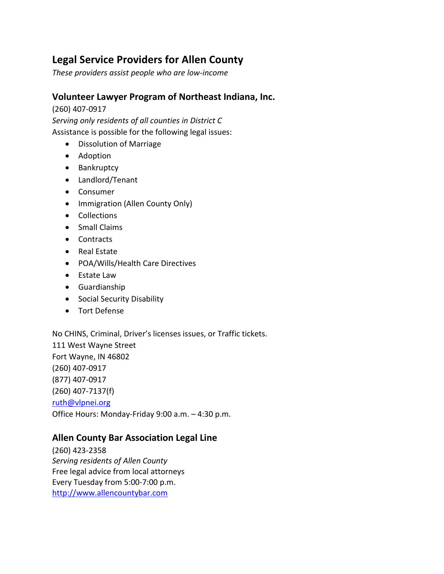# **Legal Service Providers for Allen County**

*These providers assist people who are low-income*

#### **Volunteer Lawyer Program of Northeast Indiana, Inc.**

(260) 407-0917

*Serving only residents of all counties in District C* Assistance is possible for the following legal issues:

- Dissolution of Marriage
- Adoption
- Bankruptcy
- Landlord/Tenant
- Consumer
- Immigration (Allen County Only)
- Collections
- Small Claims
- Contracts
- Real Estate
- POA/Wills/Health Care Directives
- Estate Law
- Guardianship
- Social Security Disability
- Tort Defense

No CHINS, Criminal, Driver's licenses issues, or Traffic tickets. 111 West Wayne Street Fort Wayne, IN 46802 (260) 407-0917 (877) 407-0917 (260) 407-7137(f) [ruth@vlpnei.org](mailto:ruth@vlpnei.org)

Office Hours: Monday-Friday 9:00 a.m. – 4:30 p.m.

### **Allen County Bar Association Legal Line**

(260) 423-2358 *Serving residents of Allen County* Free legal advice from local attorneys Every Tuesday from 5:00-7:00 p.m. [http://www.allencountybar.com](http://www.allencountybar.com/)